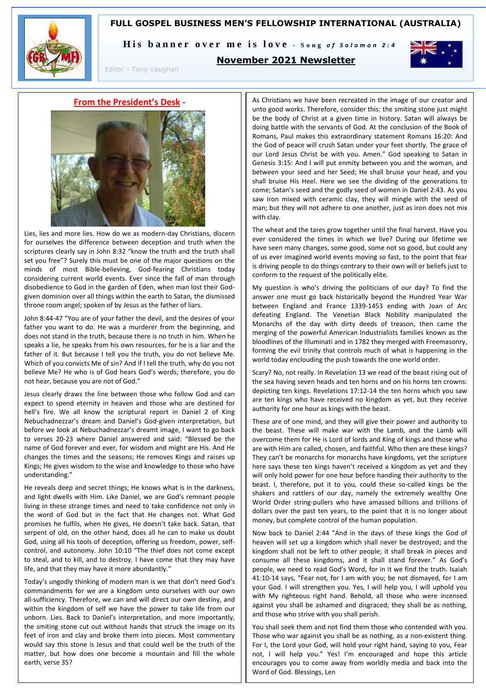# **FULL GOSPEL BUSINESS MEN'S FELLOWSHIP INTERNATIONAL (AUSTRALIA)**



His banner over me is love - Song of Solomon 2:4



Editor - Tony Vaughan

# **November 2021 Newsletter**

**From the President's Desk -**



Lies, lies and more lies. How do we as modern-day Christians, discern for ourselves the difference between deception and truth when the scriptures clearly say in John 8:32 "know the truth and the truth shall set you free"? Surely this must be one of the major questions on the minds of most Bible-believing, God-fearing Christians today considering current world events. Ever since the fall of man through disobedience to God in the garden of Eden, when man lost their Godgiven dominion over all things within the earth to Satan, the dismissed throne room angel; spoken of by Jesus as the father of liars.

John 8:44-47 "You are of your father the devil, and the desires of your father you want to do. He was a murderer from the beginning, and does not stand in the truth, because there is no truth in him. When he speaks a lie, he speaks from his own resources, for he is a liar and the father of it. But because I tell you the truth, you do not believe Me. Which of you convicts Me of sin? And if I tell the truth, why do you not believe Me? He who is of God hears God's words; therefore, you do not hear, because you are not of God."

Jesus clearly draws the line between those who follow God and can expect to spend eternity in heaven and those who are destined for hell's fire. We all know the scriptural report in Daniel 2 of King Nebuchadnezzar's dream and Daniel's God-given interpretation, but before we look at Nebuchadnezzar's dreamt image, I want to go back to verses 20-23 where Daniel answered and said: "Blessed be the name of God forever and ever, for wisdom and might are His. And He changes the times and the seasons; He removes Kings and raises up Kings; He gives wisdom to the wise and knowledge to those who have understanding."

He reveals deep and secret things; He knows what is in the darkness, and light dwells with Him. Like Daniel, we are God's remnant people living in these strange times and need to take confidence not only in the word of God but in the fact that He changes not. What God promises he fulfils, when He gives, He doesn't take back. Satan, that serpent of old, on the other hand, does all he can to make us doubt God, using all his tools of deception, offering us freedom, power, selfcontrol, and autonomy. John 10:10 "The thief does not come except to steal, and to kill, and to destroy. I have come that they may have life, and that they may have it more abundantly."

Today's ungodly thinking of modern man is we that don't need God's commandments for we are a kingdom unto ourselves with our own all-sufficiency. Therefore, we can and will direct our own destiny, and within the kingdom of self we have the power to take life from our unborn. Lies. Back to Daniel's interpretation, and more importantly, the smiting stone cut out without hands that struck the image on its feet of iron and clay and broke them into pieces. Most commentary would say this stone is Jesus and that could well be the truth of the matter, but how does one become a mountain and fill the whole earth, verse 35?

As Christians we have been recreated in the image of our creator and unto good works. Therefore, consider this: the smiting stone just might be the body of Christ at a given time in history. Satan will always be doing battle with the servants of God. At the conclusion of the Book of Romans, Paul makes this extraordinary statement Romans 16:20: And the God of peace will crush Satan under your feet shortly. The grace of our Lord Jesus Christ be with you. Amen." God speaking to Satan in Genesis 3:15: And I will put enmity between you and the woman, and between your seed and her Seed; He shall bruise your head, and you shall bruise His Heel. Here we see the dividing of the generations to come; Satan's seed and the godly seed of women in Daniel 2:43. As you saw iron mixed with ceramic clay, they will mingle with the seed of man; but they will not adhere to one another, just as iron does not mix with clay.

The wheat and the tares grow together until the final harvest. Have you ever considered the times in which we live? During our lifetime we have seen many changes, some good, some not so good, but could any of us ever imagined world events moving so fast, to the point that fear is driving people to do things contrary to their own will or beliefs just to conform to the request of the politically elite.

My question is who's driving the politicians of our day? To find the answer one must go back historically beyond the Hundred Year War between England and France 1339-1453 ending with Joan of Arc defeating England. The Venetian Black Nobility manipulated the Monarchs of the day with dirty deeds of treason, then came the merging of the powerful American Industrialists families known as the bloodlines of the Illuminati and in 1782 they merged with Freemasonry, forming the evil trinity that controls much of what is happening in the world today enclouding the push towards the one world order.

Scary? No, not really. In Revelation 13 we read of the beast rising out of the sea having seven heads and ten horns and on his horns ten crowns: depicting ten kings. Revelations 17:12-14 the ten horns which you saw are ten kings who have received no kingdom as yet, but they receive authority for one hour as kings with the beast.

These are of one mind, and they will give their power and authority to the beast. These will make war with the Lamb, and the Lamb will overcome them for He is Lord of lords and King of kings and those who are with Him are called, chosen, and faithful. Who then are these kings? They can't be monarchs for monarchs have kingdoms, yet the scripture here says these ten kings haven't received a kingdom as yet and they will only hold power for one hour before handing their authority to the beast. I, therefore, put it to you, could these so-called kings be the shakers and rattlers of our day, namely the extremely wealthy One World Order string-pullers who have amassed billions and trillions of dollars over the past ten years, to the point that it is no longer about money, but complete control of the human population.

Now back to Daniel 2:44 "And in the days of these kings the God of heaven will set up a kingdom which shall never be destroyed; and the kingdom shall not be left to other people; it shall break in pieces and consume all these kingdoms, and it shall stand forever." As God's people, we need to read God's Word, for in it we find the truth. Isaiah 41:10-14 says, "Fear not, for I am with you; be not dismayed, for I am your God. I will strengthen you. Yes, I will help you, I will uphold you with My righteous right hand. Behold, all those who were incensed against you shall be ashamed and disgraced; they shall be as nothing, and those who strive with you shall perish.

You shall seek them and not find them those who contended with you. Those who war against you shall be as nothing, as a non-existent thing. For I, the Lord your God, will hold your right hand, saying to you, Fear not, I will help you." Yes! I'm encouraged and hope this article encourages you to come away from worldly media and back into the Word of God. Blessings, Len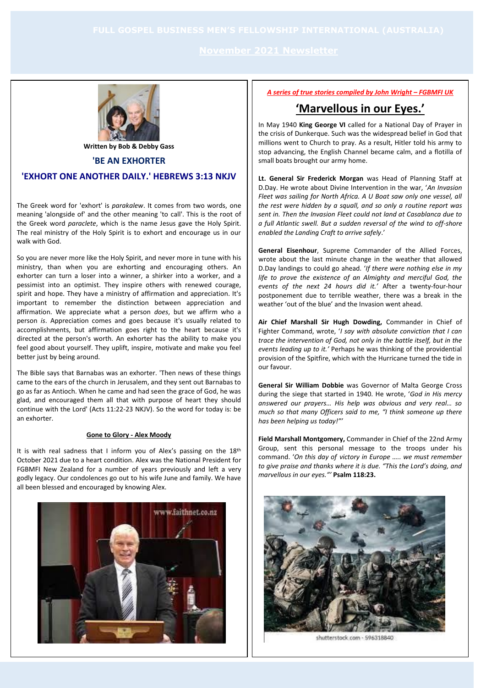

**Written by Bob & Debby Gass**

#### **'BE AN EXHORTER**

## **'EXHORT ONE ANOTHER DAILY.' HEBREWS 3:13 NKJV**

The Greek word for 'exhort' is *parakalew*. It comes from two words, one meaning 'alongside of' and the other meaning 'to call'. This is the root of the Greek word *paraclete*, which is the name Jesus gave the Holy Spirit. The real ministry of the Holy Spirit is to exhort and encourage us in our walk with God.

So you are never more like the Holy Spirit, and never more in tune with his ministry, than when you are exhorting and encouraging others. An exhorter can turn a loser into a winner, a shirker into a worker, and a pessimist into an optimist. They inspire others with renewed courage, spirit and hope. They have a ministry of affirmation and appreciation. It's important to remember the distinction between appreciation and affirmation. We appreciate what a person *does*, but we affirm who a person *is*. Appreciation comes and goes because it's usually related to accomplishments, but affirmation goes right to the heart because it's directed at the person's worth. An exhorter has the ability to make you feel good about yourself. They uplift, inspire, motivate and make you feel better just by being around.

The Bible says that Barnabas was an exhorter. 'Then news of these things came to the ears of the church in Jerusalem, and they sent out Barnabas to go as far as Antioch. When he came and had seen the grace of God, he was glad, and encouraged them all that with purpose of heart they should continue with the Lord' (Acts 11:22-23 NKJV). So the word for today is: be an exhorter.

#### **Gone to Glory - Alex Moody**

It is with real sadness that I inform you of Alex's passing on the 18<sup>th</sup> October 2021 due to a heart condition. Alex was the National President for FGBMFI New Zealand for a number of years previously and left a very godly legacy. Our condolences go out to his wife June and family. We have all been blessed and encouraged by knowing Alex.



*A series of true stories compiled by John Wright – FGBMFI UK*

# **'Marvellous in our Eyes.'**

In May 1940 **King George VI** called for a National Day of Prayer in the crisis of Dunkerque. Such was the widespread belief in God that millions went to Church to pray. As a result, Hitler told his army to stop advancing, the English Channel became calm, and a flotilla of small boats brought our army home.

**Lt. General Sir Frederick Morgan** was Head of Planning Staff at D.Day. He wrote about Divine Intervention in the war, '*An Invasion Fleet was sailing for North Africa. A U Boat saw only one vessel, all the rest were hidden by a squall, and so only a routine report was sent in. Then the Invasion Fleet could not land at Casablanca due to a full Atlantic swell. But a sudden reversal of the wind to off-shore enabled the Landing Craft to arrive safely*.'

**General Eisenhour**, Supreme Commander of the Allied Forces, wrote about the last minute change in the weather that allowed D.Day landings to could go ahead. '*If there were nothing else in my life to prove the existence of an Almighty and merciful God, the events of the next 24 hours did it.'* After a twenty-four-hour postponement due to terrible weather, there was a break in the weather 'out of the blue' and the Invasion went ahead.

**Air Chief Marshall Sir Hugh Dowding,** Commander in Chief of Fighter Command, wrote, '*I say with absolute conviction that I can trace the intervention of God, not only in the battle itself, but in the events leading up to it.'* Perhaps he was thinking of the providential provision of the Spitfire, which with the Hurricane turned the tide in our favour.

**General Sir William Dobbie** was Governor of Malta George Cross during the siege that started in 1940. He wrote, '*God in His mercy answered our prayers… His help was obvious and very real… so much so that many Officers said to me, "I think someone up there has been helping us today!"'* 

**Field Marshall Montgomery,** Commander in Chief of the 22nd Army Group, sent this personal message to the troops under his command. '*On this day of victory in Europe ….. we must remember to give praise and thanks where it is due. "This the Lord's doing, and marvellous in our eyes."'* **Psalm 118:23.** 



shutterstock.com - 596318840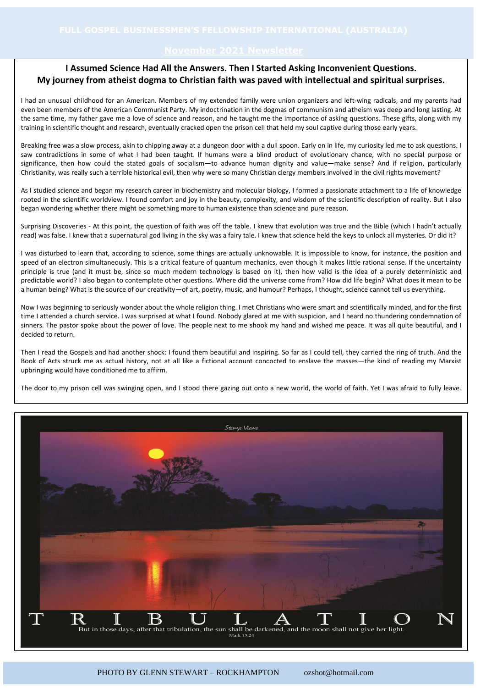### **November 2021 Newsletter**

## **I Assumed Science Had All the Answers. Then I Started Asking Inconvenient Questions. My journey from atheist dogma to Christian faith was paved with intellectual and spiritual surprises.**

I had an unusual childhood for an American. Members of my extended family were union organizers and left-wing radicals, and my parents had even been members of the American Communist Party. My indoctrination in the dogmas of communism and atheism was deep and long lasting. At the same time, my father gave me a love of science and reason, and he taught me the importance of asking questions. These gifts, along with my training in scientific thought and research, eventually cracked open the prison cell that held my soul captive during those early years.

Breaking free was a slow process, akin to chipping away at a dungeon door with a dull spoon. Early on in life, my curiosity led me to ask questions. I saw contradictions in some of what I had been taught. If humans were a blind product of evolutionary chance, with no special purpose or significance, then how could the stated goals of socialism—to advance human dignity and value—make sense? And if religion, particularly Christianity, was really such a terrible historical evil, then why were so many Christian clergy members involved in the civil rights movement?

As I studied science and began my research career in biochemistry and molecular biology, I formed a passionate attachment to a life of knowledge rooted in the scientific worldview. I found comfort and joy in the beauty, complexity, and wisdom of the scientific description of reality. But I also began wondering whether there might be something more to human existence than science and pure reason.

Surprising Discoveries - At this point, the question of faith was off the table. I knew that evolution was true and the Bible (which I hadn't actually read) was false. I knew that a supernatural god living in the sky was a fairy tale. I knew that science held the keys to unlock all mysteries. Or did it?

I was disturbed to learn that, according to science, some things are actually unknowable. It is impossible to know, for instance, the position and speed of an electron simultaneously. This is a critical feature of quantum mechanics, even though it makes little rational sense. If the uncertainty principle is true (and it must be, since so much modern technology is based on it), then how valid is the idea of a purely deterministic and predictable world? I also began to contemplate other questions. Where did the universe come from? How did life begin? What does it mean to be a human being? What is the source of our creativity—of art, poetry, music, and humour? Perhaps, I thought, science cannot tell us everything.

Now I was beginning to seriously wonder about the whole religion thing. I met Christians who were smart and scientifically minded, and for the first time I attended a church service. I was surprised at what I found. Nobody glared at me with suspicion, and I heard no thundering condemnation of sinners. The pastor spoke about the power of love. The people next to me shook my hand and wished me peace. It was all quite beautiful, and I decided to return.

Then I read the Gospels and had another shock: I found them beautiful and inspiring. So far as I could tell, they carried the ring of truth. And the Book of Acts struck me as actual history, not at all like a fictional account concocted to enslave the masses—the kind of reading my Marxist upbringing would have conditioned me to affirm.

The door to my prison cell was swinging open, and I stood there gazing out onto a new world, the world of faith. Yet I was afraid to fully leave.